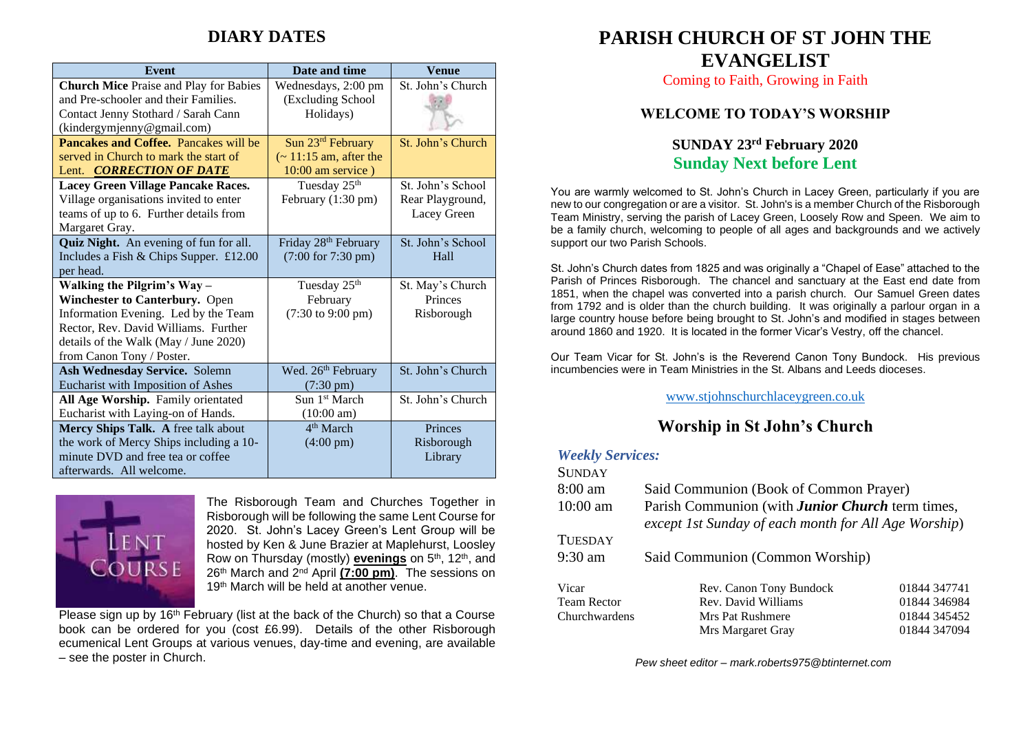# **DIARY DATES**

| <b>Event</b>                                  | Date and time                        | <b>Venue</b>      |
|-----------------------------------------------|--------------------------------------|-------------------|
| <b>Church Mice Praise and Play for Babies</b> | Wednesdays, 2:00 pm                  | St. John's Church |
| and Pre-schooler and their Families.          | (Excluding School                    |                   |
| Contact Jenny Stothard / Sarah Cann           | Holidays)                            |                   |
| (kindergymjenny@gmail.com)                    |                                      |                   |
| <b>Pancakes and Coffee.</b> Pancakes will be  | Sun 23rd February                    | St. John's Church |
| served in Church to mark the start of         | $\sim$ 11:15 am, after the           |                   |
| Lent. <b>CORRECTION OF DATE</b>               | $10:00$ am service)                  |                   |
| Lacey Green Village Pancake Races.            | Tuesday 25 <sup>th</sup>             | St. John's School |
| Village organisations invited to enter        | February (1:30 pm)                   | Rear Playground,  |
| teams of up to 6. Further details from        |                                      | Lacey Green       |
| Margaret Gray.                                |                                      |                   |
| Quiz Night. An evening of fun for all.        | Friday 28 <sup>th</sup> February     | St. John's School |
| Includes a Fish & Chips Supper. £12.00        | (7:00 for 7:30 pm)                   | Hall              |
| per head.                                     |                                      |                   |
| Walking the Pilgrim's Way-                    | Tuesday 25 <sup>th</sup>             | St. May's Church  |
| Winchester to Canterbury. Open                | February                             | Princes           |
| Information Evening. Led by the Team          | $(7:30 \text{ to } 9:00 \text{ pm})$ | Risborough        |
| Rector, Rev. David Williams. Further          |                                      |                   |
| details of the Walk (May / June 2020)         |                                      |                   |
| from Canon Tony / Poster.                     |                                      |                   |
| Ash Wednesday Service. Solemn                 | Wed. 26 <sup>th</sup> February       | St. John's Church |
| Eucharist with Imposition of Ashes            | $(7:30 \text{ pm})$                  |                   |
| All Age Worship. Family orientated            | Sun 1 <sup>st</sup> March            | St. John's Church |
| Eucharist with Laying-on of Hands.            | $(10:00 \text{ am})$                 |                   |
| Mercy Ships Talk. A free talk about           | $4th$ March                          | Princes           |
| the work of Mercy Ships including a 10-       | $(4:00 \text{ pm})$                  | Risborough        |
| minute DVD and free tea or coffee             |                                      | Library           |
| afterwards. All welcome.                      |                                      |                   |



The Risborough Team and Churches Together in Risborough will be following the same Lent Course for 2020. St. John's Lacey Green's Lent Group will be hosted by Ken & June Brazier at Maplehurst, Loosley Row on Thursday (mostly) **evenings** on 5<sup>th</sup>, 12<sup>th</sup>, and 26th March and 2nd April **(7:00 pm)**. The sessions on 19th March will be held at another venue.

Please sign up by  $16<sup>th</sup>$  February (list at the back of the Church) so that a Course book can be ordered for you (cost £6.99). Details of the other Risborough ecumenical Lent Groups at various venues, day-time and evening, are available – see the poster in Church.

# **PARISH CHURCH OF ST JOHN THE EVANGELIST**

Coming to Faith, Growing in Faith

### **WELCOME TO TODAY'S WORSHIP**

## **SUNDAY 23rd February 2020 Sunday Next before Lent**

You are warmly welcomed to St. John's Church in Lacey Green, particularly if you are new to our congregation or are a visitor. St. John's is a member Church of the Risborough Team Ministry, serving the parish of Lacey Green, Loosely Row and Speen. We aim to be a family church, welcoming to people of all ages and backgrounds and we actively support our two Parish Schools.

St. John's Church dates from 1825 and was originally a "Chapel of Ease" attached to the Parish of Princes Risborough. The chancel and sanctuary at the East end date from 1851, when the chapel was converted into a parish church. Our Samuel Green dates from 1792 and is older than the church building. It was originally a parlour organ in a large country house before being brought to St. John's and modified in stages between around 1860 and 1920. It is located in the former Vicar's Vestry, off the chancel.

Our Team Vicar for St. John's is the Reverend Canon Tony Bundock. His previous incumbencies were in Team Ministries in the St. Albans and Leeds dioceses.

### [www.stjohnschurchlaceygreen.co.uk](http://www.stjohnschurchlaceygreen.co.uk/)

# **Worship in St John's Church**

#### *Weekly Services:*  $S_{\text{S}}$

| SUNDAY             |                                                                                                                 |              |
|--------------------|-----------------------------------------------------------------------------------------------------------------|--------------|
| $8:00 \text{ am}$  | Said Communion (Book of Common Prayer)                                                                          |              |
| $10:00$ am         | Parish Communion (with <b>Junior Church</b> term times,<br>except 1st Sunday of each month for All Age Worship) |              |
| TUESDAY            |                                                                                                                 |              |
| $9:30$ am          | Said Communion (Common Worship)                                                                                 |              |
| Vicar              | Rev. Canon Tony Bundock                                                                                         | 01844 347741 |
| <b>Team Rector</b> | Rev. David Williams                                                                                             | 01844 346984 |
| Churchwardens      | Mrs Pat Rushmere                                                                                                | 01844 345452 |
|                    | Mrs Margaret Gray                                                                                               | 01844 347094 |

*Pew sheet editor – mark.roberts975@btinternet.com*